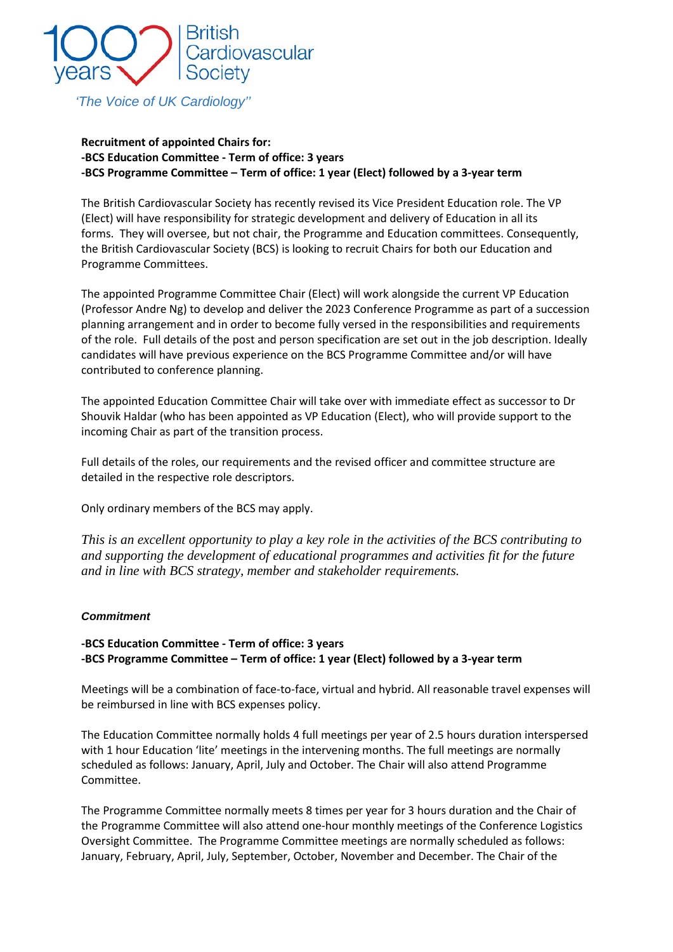

*'The Voice of UK Cardiology''*

# **Recruitment of appointed Chairs for: -BCS Education Committee - Term of office: 3 years -BCS Programme Committee – Term of office: 1 year (Elect) followed by a 3-year term**

The British Cardiovascular Society has recently revised its Vice President Education role. The VP (Elect) will have responsibility for strategic development and delivery of Education in all its forms. They will oversee, but not chair, the Programme and Education committees. Consequently, the British Cardiovascular Society (BCS) is looking to recruit Chairs for both our Education and Programme Committees.

The appointed Programme Committee Chair (Elect) will work alongside the current VP Education (Professor Andre Ng) to develop and deliver the 2023 Conference Programme as part of a succession planning arrangement and in order to become fully versed in the responsibilities and requirements of the role. Full details of the post and person specification are set out in the job description. Ideally candidates will have previous experience on the BCS Programme Committee and/or will have contributed to conference planning.

The appointed Education Committee Chair will take over with immediate effect as successor to Dr Shouvik Haldar (who has been appointed as VP Education (Elect), who will provide support to the incoming Chair as part of the transition process.

Full details of the roles, our requirements and the revised officer and committee structure are detailed in the respective role descriptors.

Only ordinary members of the BCS may apply.

*This is an excellent opportunity to play a key role in the activities of the BCS contributing to and supporting the development of educational programmes and activities fit for the future and in line with BCS strategy, member and stakeholder requirements.* 

## *Commitment*

# **-BCS Education Committee - Term of office: 3 years -BCS Programme Committee – Term of office: 1 year (Elect) followed by a 3-year term**

Meetings will be a combination of face-to-face, virtual and hybrid. All reasonable travel expenses will be reimbursed in line with BCS expenses policy.

The Education Committee normally holds 4 full meetings per year of 2.5 hours duration interspersed with 1 hour Education 'lite' meetings in the intervening months. The full meetings are normally scheduled as follows: January, April, July and October. The Chair will also attend Programme Committee.

The Programme Committee normally meets 8 times per year for 3 hours duration and the Chair of the Programme Committee will also attend one-hour monthly meetings of the Conference Logistics Oversight Committee. The Programme Committee meetings are normally scheduled as follows: January, February, April, July, September, October, November and December. The Chair of the